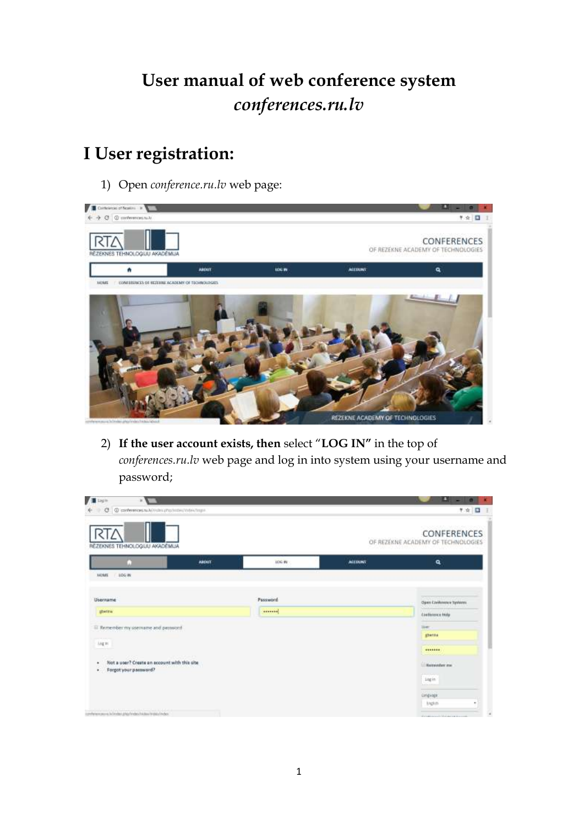# **User manual of web conference system**  *conferences.ru.lv*

### **I User registration:**

1) Open *conference.ru.lv* web page:



2) **If the user account exists, then** select "**LOG IN"** in the top of *conferences.ru.lv* web page and log in into system using your username and password;

| <b>TE Light</b><br>W.                                                                 |                   |               |                | вı<br>$-1$ $\sigma$                               |
|---------------------------------------------------------------------------------------|-------------------|---------------|----------------|---------------------------------------------------|
| C  @ conferences.nu.k/matrix.php.nicters/instrum-                                     |                   |               |                | 半☆ 国<br>$\pm$                                     |
| REZEKNES TEHNOLOGIJU AKADĒMLIA                                                        |                   |               |                | CONFERENCES<br>OF REZEKNE ACADEMY OF TECHNOLOGIES |
|                                                                                       | <b>ABOUT</b>      | <b>TOG BY</b> | <b>ACCOUNT</b> | ٩                                                 |
| <b>HOME</b><br>$-106.06$                                                              |                   |               |                |                                                   |
| Username                                                                              |                   | Password      |                | Open Conference Systems                           |
| ghierkra/                                                                             |                   | deserves.     |                | <b>Continues Hilly</b>                            |
| III Remember my usemanie and password                                                 |                   |               |                | <b>THEF</b>                                       |
| <b>Light</b>                                                                          |                   |               |                | <b>IDenta</b>                                     |
|                                                                                       | and the committee |               |                | 4444444<br><b>UNITED STATE</b>                    |
| Not a user? Create an account with this site.<br>٠<br>Forgot your password?<br>٠      |                   |               |                | <b>Universities</b> are                           |
|                                                                                       |                   |               |                | 14gin<br>Automatic                                |
|                                                                                       |                   |               |                | <b>CALL AND</b><br><b>Congvage</b>                |
|                                                                                       |                   |               |                | English<br>٠                                      |
| and the first than 14 h Lake<br>comference and in the dealer dealer and and a checker |                   |               |                | include considerable control                      |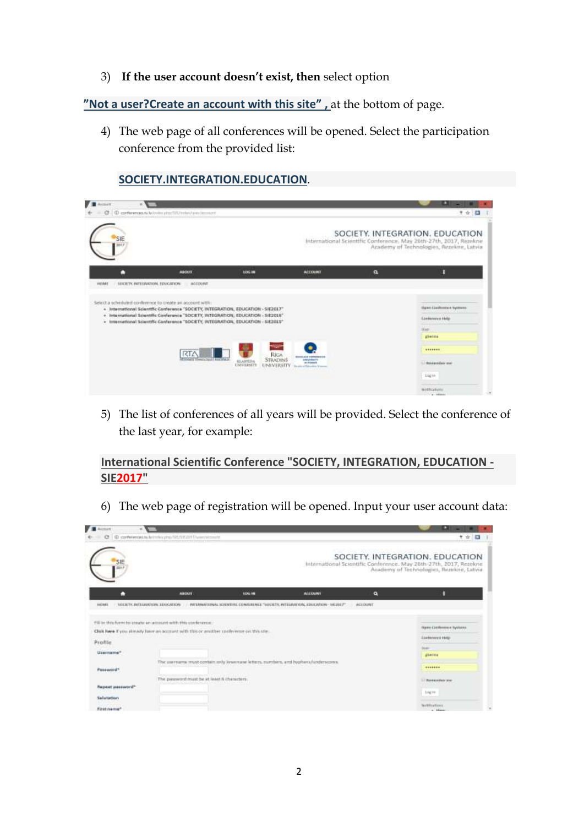3) **If the user account doesn't exist, then** select option

**"N[ot a user?Create an account with this site](http://conferences.ru.lv/index.php/index/index/user/account)" ,** at the bottom of page.

4) The web page of all conferences will be opened. Select the participation conference from the provided list:

| SIE<br>matr |                                                                                                                                                                                                                                                                                                                          |                                                                                       |                                                                                                                |   | SOCIETY, INTEGRATION, EDUCATION<br>International Scientific Conference, May 20th-27th, 2017, Rezekne<br>Academy of Technologies, Rezekne, Latvia |
|-------------|--------------------------------------------------------------------------------------------------------------------------------------------------------------------------------------------------------------------------------------------------------------------------------------------------------------------------|---------------------------------------------------------------------------------------|----------------------------------------------------------------------------------------------------------------|---|--------------------------------------------------------------------------------------------------------------------------------------------------|
| ٠           | <b>ABOUT</b>                                                                                                                                                                                                                                                                                                             | <b>DOG IN</b>                                                                         | <b>ACCOUNT</b>                                                                                                 | ٩ | B                                                                                                                                                |
|             | Select a schriduled confinence to treate an account with:<br>+ Intentational Scientific Conference "SOCIETY, INTEGRATION, EDUCATION - SIE2017"<br>· International Scientific Conference "SOCIETY, INTEGRATION, EDUCATION - SIE2016"<br>· International Scientific Conference "SOCIETY, INTEGRATION, EDUCATION - SIE2015" |                                                                                       |                                                                                                                |   | <b>States Conference Vyement</b><br>Epsteways Help<br><b>LIVER CRAN</b>                                                                          |
|             |                                                                                                                                                                                                                                                                                                                          |                                                                                       |                                                                                                                |   | the.<br>ghenes<br><b>Little Service State</b>                                                                                                    |
|             |                                                                                                                                                                                                                                                                                                                          | -9500                                                                                 |                                                                                                                |   | <b>BANKARE</b>                                                                                                                                   |
|             | <b>RTA</b><br><b>POINTE TRACK Tour AND FOLK</b>                                                                                                                                                                                                                                                                          | Righ<br>STRADINS<br><b>SLAIPEDA</b><br><b>USIVERSITY</b><br><b><i>EINIVERSITY</i></b> | <b>BEREILAGE TEMPERAGIE</b><br><b>Intervenivering</b><br>and internation<br>The same art functioning is teamed |   | 111 Bridge Island and                                                                                                                            |

**[SOCIETY.INTEGRATION.EDUCATION](http://conferences.ru.lv/index.php/SIE/index/user/account)**.

5) The list of conferences of all years will be provided. Select the conference of the last year, for example:

**[International Scientific Conference "SOCIETY, INTEGRATION, EDUCATION -](http://conferences.ru.lv/index.php/SIE/SIE2017/user/account) [SIE2017"](http://conferences.ru.lv/index.php/SIE/SIE2017/user/account)**

6) The web page of registration will be opened. Input your user account data:

| <b>Littlewood</b>            |                                                                                                                                                        |                                                                                                                                                                                           |                                                                                |                       |                                                                                                                                                  |
|------------------------------|--------------------------------------------------------------------------------------------------------------------------------------------------------|-------------------------------------------------------------------------------------------------------------------------------------------------------------------------------------------|--------------------------------------------------------------------------------|-----------------------|--------------------------------------------------------------------------------------------------------------------------------------------------|
| a                            | (E) contenentativi lemmini pho/SIS/SIS201 Puremement                                                                                                   |                                                                                                                                                                                           |                                                                                |                       | ▼☆ 日                                                                                                                                             |
| SIE                          |                                                                                                                                                        |                                                                                                                                                                                           |                                                                                |                       | SOCIETY. INTEGRATION. EDUCATION<br>International Scientific Conference. May 20th-27th, 2017, Rezekne<br>Academy of Technologies, Rezekne, Latvia |
| n                            | <b>AGENCY</b>                                                                                                                                          | <b>ECKLIN</b>                                                                                                                                                                             | <b>ACCUSING</b>                                                                | $\alpha$              | R                                                                                                                                                |
| 1003908                      | <b><i>SOCKTY, INTEGRATION, EDUCATION</i></b>                                                                                                           |                                                                                                                                                                                           | WITERMETINAL SCIENTINI: CONFERENCE "SOCIETY, WITERMITON, EDUCATION - SILIER/** | <b><i>NELDUNT</i></b> |                                                                                                                                                  |
|                              | Pill by this form to create an account with this conference.<br>Club here If you stready have an account with this or another conference on this site. |                                                                                                                                                                                           |                                                                                |                       | Open Confession Systems<br><b>THE REPORT OF A REAL PROPERTY</b>                                                                                  |
| Profile                      |                                                                                                                                                        |                                                                                                                                                                                           |                                                                                |                       | <b>Enderwork Help</b>                                                                                                                            |
| Lleenwing*                   |                                                                                                                                                        |                                                                                                                                                                                           |                                                                                |                       | <b>DAME</b><br>dieces                                                                                                                            |
| Passaword*                   |                                                                                                                                                        | The converse must contain rely linearcase letters, rombins, and hyphera/underscores.<br>no na matamini na katalogia mata Novo (na central matamini a también Novo (na central na central) |                                                                                |                       | 4999334<br><b>STARTING</b>                                                                                                                       |
| Repeat password <sup>+</sup> | The payword must be at least & characters.                                                                                                             | <b>NOMES CHECK PROVIDE</b>                                                                                                                                                                |                                                                                |                       | Li Rossenhorane                                                                                                                                  |
| Salutation                   |                                                                                                                                                        |                                                                                                                                                                                           |                                                                                |                       | Ling He                                                                                                                                          |
| First name?                  |                                                                                                                                                        |                                                                                                                                                                                           |                                                                                |                       | <b>The Wing Essex</b>                                                                                                                            |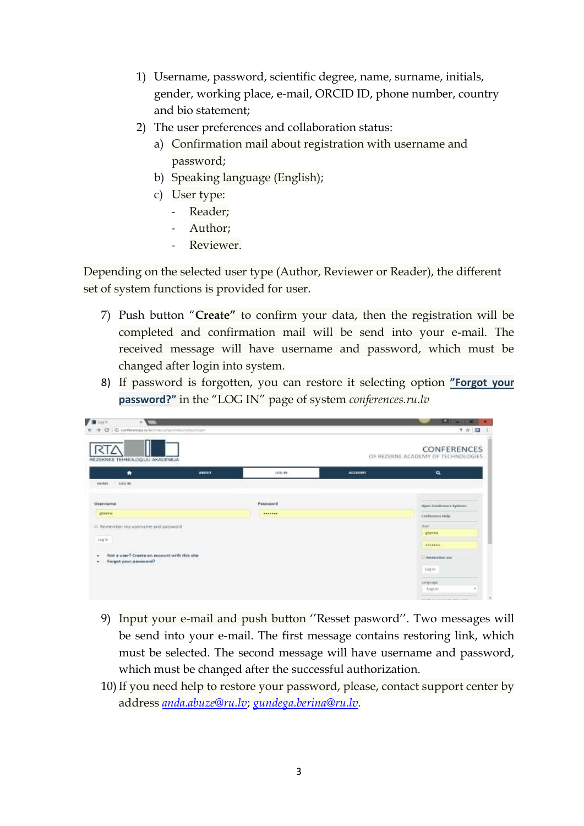- 1) Username, password, scientific degree, name, surname, initials, gender, working place, e-mail, ORCID ID, phone number, country and bio statement;
- 2) The user preferences and collaboration status:
	- a) Confirmation mail about registration with username and password;
	- b) Speaking language (English);
	- c) User type:
		- Reader;
		- Author;
		- Reviewer.

Depending on the selected user type (Author, Reviewer or Reader), the different set of system functions is provided for user.

- 7) Push button "**Create"** to confirm your data, then the registration will be completed and confirmation mail will be send into your e-mail. The received message will have username and password, which must be changed after login into system.
- 8) If password is forgotten, you can restore it selecting option **"F[orgot your](http://conferences.ru.lv/index.php/index/index/login/lostPassword)  [password?](http://conferences.ru.lv/index.php/index/index/login/lostPassword)"** in the "LOG IN" page of system *conferences.ru.lv*

| Upply<br>$\mathcal{M}^{\mathcal{N}}$<br>← → O O conferences in Windows photosological constructions |                                                             |                             |                | œ<br>-<br>〒☆ 図                                                                         |
|-----------------------------------------------------------------------------------------------------|-------------------------------------------------------------|-----------------------------|----------------|----------------------------------------------------------------------------------------|
| п<br>REZEKNES TEHNOLOGIJU AKADEMIJA                                                                 |                                                             |                             |                | <b>TORY OF CALIFORNIA</b><br><b>CONFERENCES</b><br>OF REZERNE ACADEMY OF TECHNOLOGIES. |
| ۰                                                                                                   | <b>ABITUT</b>                                               | 1110-99                     | <b>ALLIENT</b> | $\mathbf{a}$                                                                           |
| <b>LEETANE</b><br>$-1.0164$ (PE)                                                                    |                                                             |                             |                |                                                                                        |
| Username                                                                                            |                                                             | Password                    |                | <u>wa matu wa mshini wa Shiri</u><br><b>Humi-Cardinment Systems</b>                    |
| фикки                                                                                               |                                                             | -------<br><b>COMMUNITY</b> |                | <b>Continence Hota</b>                                                                 |
| El Remember my usemame and password                                                                 |                                                             |                             |                | 竹                                                                                      |
|                                                                                                     |                                                             |                             |                | gherma                                                                                 |
| 144.91                                                                                              |                                                             |                             |                |                                                                                        |
| .<br>Not a user? Create an access twith this site<br>٠<br>Forgot your password?<br>٠                | the control of the control of the con-<br>TA SOLAR DOMESTIC |                             |                | 11 Service Editor State                                                                |
|                                                                                                     |                                                             |                             |                | Light                                                                                  |
|                                                                                                     |                                                             |                             |                | Language.                                                                              |
|                                                                                                     |                                                             |                             |                | builds                                                                                 |
|                                                                                                     |                                                             |                             |                | A CARD IS AND REPORTED A COUNTY                                                        |

- 9) Input your e-mail and push button ''Resset pasword''. Two messages will be send into your e-mail. The first message contains restoring link, which must be selected. The second message will have username and password, which must be changed after the successful authorization.
- 10)If you need help to restore your password, please, contact support center by address *[anda.abuze@ru.lv](mailto:anda.abuze@ru.lv)*; *[gundega.berina@ru.lv.](mailto:gundega.berina@ru.lv)*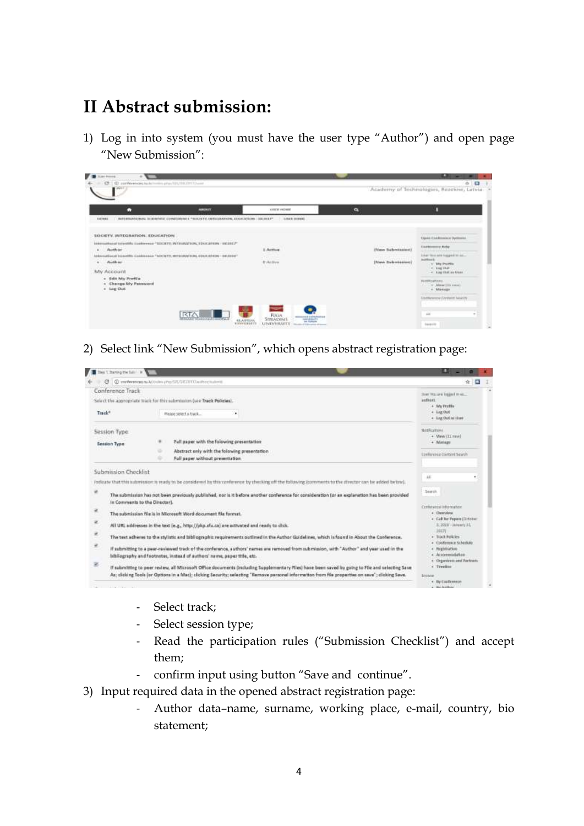#### **II Abstract submission:**

1) Log in into system (you must have the user type "Author") and open page "New Submission":

| п                               | <b>PERSONAL PROPERTY</b>                                                                                                                       | ATTENT PROBER     | $\bullet$                                           |                                                          |
|---------------------------------|------------------------------------------------------------------------------------------------------------------------------------------------|-------------------|-----------------------------------------------------|----------------------------------------------------------|
| 1147918                         | RETURNATIONAL RUDBY/INFORMATION IS "MODELY, DETAILRATION, EDUCATION - REUDLY"   AND RUDBY                                                      |                   |                                                     |                                                          |
| SOCIETY, INTEGRATION, EDUCATION |                                                                                                                                                |                   |                                                     |                                                          |
|                                 | <b>CONTRACTOR</b> AND CONTRACTOR                                                                                                               |                   |                                                     | Open Chickmann's Sympatric                               |
| <b>Author</b>                   | International Intertify Conteress "USCKTY, WINGBATNIN, EDUCATION, "INCODE?"                                                                    | .<br>3. Active    | <b>NUMBER OF STREET</b><br>(Edward Suddenstrumment) | $\begin{tabular}{l} \bf 0.044\,cm\,pc\,Hz \end{tabular}$ |
|                                 | THE REPORT OF A 2005 AND THE REPORT OF A 2006 AND LODGED AT LCCC.<br>URNAND IN ANTIFER COMMANDIAL TREPORTY, WITHOUT FOR COURT REPORT - RECEIVE | 28.7 <sup>2</sup> | <b>DOMESTIC NATIONAL</b>                            | liker this are happed to an                              |
| Author:                         | and the state of the contract of the contract of                                                                                               | <b>BASE</b>       | (Riaw Submission)                                   | Authort.<br>v Wy Profile                                 |
| My Account                      |                                                                                                                                                |                   | <b>Allege Communication</b>                         | $+$ tag that<br>- 4 King Chat as trees.                  |
| - Eds My Profile                |                                                                                                                                                |                   |                                                     |                                                          |
| 4 Change Mr Pessward            |                                                                                                                                                |                   |                                                     | <b>BUSINESS AND CONTRACT</b><br>The Car Missourity count |
| + lag Dat                       |                                                                                                                                                |                   |                                                     | CA MARGARET                                              |
|                                 |                                                                                                                                                |                   |                                                     | <b>Elemente Cereald lauren</b>                           |
|                                 |                                                                                                                                                |                   |                                                     |                                                          |

2) Select link "New Submission", which opens abstract registration page:



- Select track;
- Select session type;
- Read the participation rules ("Submission Checklist") and accept them;
- confirm input using button "Save and continue".
- 3) Input required data in the opened abstract registration page:
	- Author data–name, surname, working place, e-mail, country, bio statement;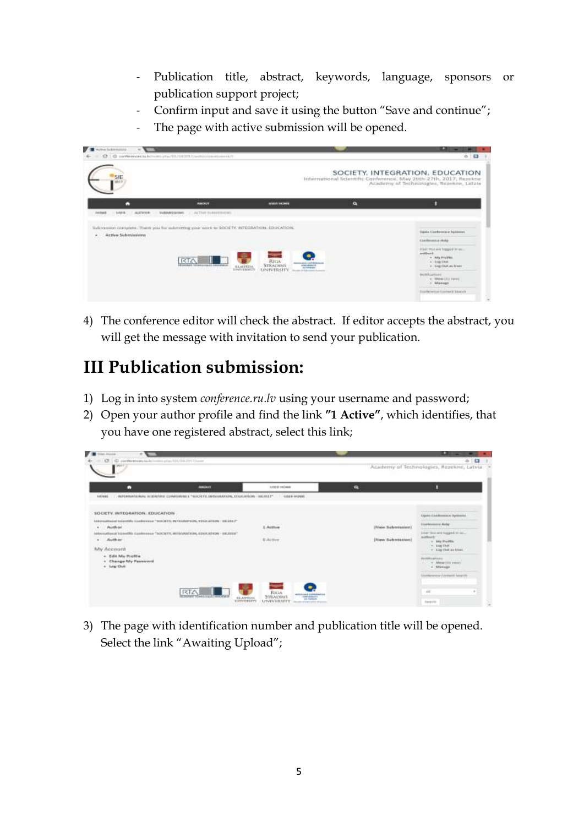- Publication title, abstract, keywords, language, sponsors or publication support project;
- Confirm input and save it using the button "Save and continue";
- The page with active submission will be opened.

| <b>Call Arme International</b><br>m.                                                                                                                  |                                                                                                                                                        |                                                                                                                    |   | œ<br>-                                                                                                                                                              |
|-------------------------------------------------------------------------------------------------------------------------------------------------------|--------------------------------------------------------------------------------------------------------------------------------------------------------|--------------------------------------------------------------------------------------------------------------------|---|---------------------------------------------------------------------------------------------------------------------------------------------------------------------|
| SIE                                                                                                                                                   | CE G partnerstects however physicial contemporarism and                                                                                                |                                                                                                                    |   | $0 - 12$<br>SOCIETY, INTEGRATION, EDUCATION<br>Infernational Scientific Conference: May 26th 27th, 2017, Resektie:<br>Academy of Technologies, Resekto, Latvia      |
| п<br><b>LEGAN</b><br><b>SUITHER</b><br><b>Fey T-tut-E</b>                                                                                             | <b>AMERICA</b><br><b>MARINE CAN IME</b><br>ACTION INABIATIONS                                                                                          | <b>TERRA HISPANI</b>                                                                                               | a |                                                                                                                                                                     |
| Bullivationer corrupters. There you has advertising your work to SOCKTV, iniTEGRATION, EDUCATION,<br>Active Sickmissions<br>٠<br>te social permitting | and the spin design of the second contract was associated to the second contract of the second second problem<br>edistance beneficiants and annualment | <b>TELETING</b><br><b>Ritas</b><br><b>CONTRACTOR</b><br>STRADUMS<br><b>GRANDED BROWN</b><br>KLAIDEDA               |   | <b>Signa Conferrision Symmetre</b><br><b>Exclusions</b> Hole<br>Hair via sea bagged in an-<br>and fruit C.<br>. . We Friller<br>a loss that<br>to Long Old Law Made |
|                                                                                                                                                       | and the control of the state of the                                                                                                                    | AFTERING<br><b>109NEERTY</b><br><b>UNIVERSITY</b><br>Norwan or Adviser A Kellyn<br><b>THE REPORT OF PRINT</b><br>. |   | <b>Hottluster</b><br>4. Week LEE Form<br>r Manage<br>Englargement Contracts Stuarters                                                                               |

4) The conference editor will check the abstract. If editor accepts the abstract, you will get the message with invitation to send your publication.

## **III Publication submission:**

- 1) Log in into system *conference.ru.lv* using your username and password;
- 2) Open your author profile and find the link **"1 Active"**, which identifies, that you have one registered abstract, select this link;

| ٠                               | <b>PORT BUT</b>                                                                                                        | ATTENT PROBER       | $\alpha$              |                                            |
|---------------------------------|------------------------------------------------------------------------------------------------------------------------|---------------------|-----------------------|--------------------------------------------|
| 1111111                         | INTERNATIONAL RESERVER CONSTRUCT ** MOCKEY, INTEGRATION, EDUCATION - GRUPLE*                                           | <b>ATLES FEEDER</b> |                       |                                            |
| SOCIETY. INFEGRATION. EDUCATION |                                                                                                                        |                     |                       | <b>Open Chairmann's Systemia</b>           |
|                                 | THE R. P. LEWIS CO., LANSING MICH.<br>International Urbertiful Contresso "020201V, WITHIAWINGS, EDGICATION - UK USE 7" | <b>CONTRACTOR</b>   |                       |                                            |
| Author.                         | postaven pri navenne sve sve se i filman og port se politike i representative i stresse og st                          | 3. Action           | <b>Haw Schemann</b>   | $t$ as $t$ ( $t$ = $t$ , $t$ = $t$         |
|                                 | MANUSEMENT ISSUED: CAMMINIA "SOCKTY, WITASANTISM, EDUCATION - BEJEEN"                                                  | $\alpha$            | in the state and it.  | liker this are bagged to an-<br>hoffinit." |
| Author                          | the contract of the contract of the contract of the contract of the contract of the contract of the contract of        | <b>BAMP</b>         | (Riam Rickersteature) | v Wa Profile                               |
| My Account                      |                                                                                                                        |                     |                       | $+$ tag that<br>- 4 King Ohat an Issue.    |
| - Eds My Profile                |                                                                                                                        |                     |                       | <b>FEFRITARY CONTROL</b>                   |
| 4 Change Mr Passward            |                                                                                                                        |                     |                       | THE R. P. LEWIS CO., LANSING MICH.         |
| o Lag Dat                       |                                                                                                                        |                     |                       | + Manage                                   |
|                                 |                                                                                                                        |                     |                       | <b>Elsenware Daniel Nearly</b>             |

3) The page with identification number and publication title will be opened. Select the link "Awaiting Upload";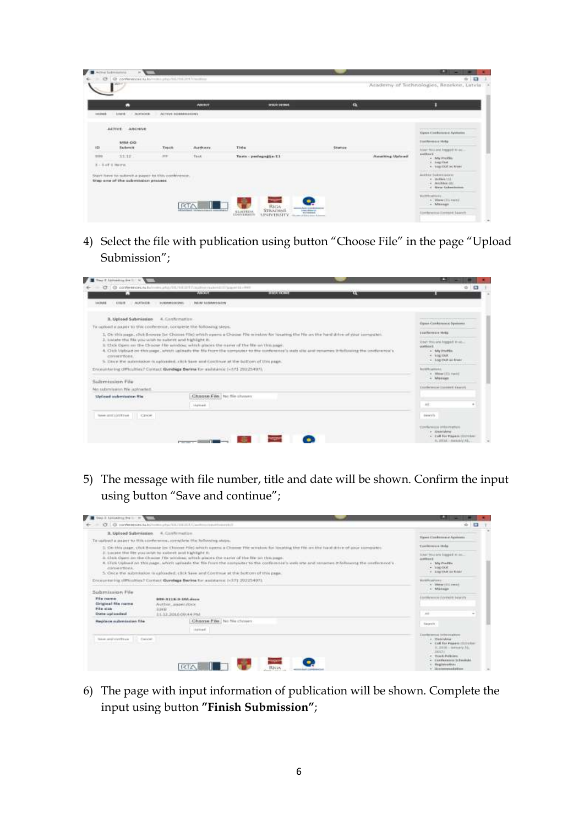|          | Ω                                                                                      |                     | AMERIN         | <b>LESCRIPTIONS</b>    | n                                              | п                                                                                     |
|----------|----------------------------------------------------------------------------------------|---------------------|----------------|------------------------|------------------------------------------------|---------------------------------------------------------------------------------------|
| 10120-01 | <b>Length</b><br><b>BUTTHOR</b>                                                        | ALTIVE MARAGEMENTS. |                |                        |                                                |                                                                                       |
|          | ARCHIVE<br>ACTIVE:<br><b>PERMITTE</b><br>376 DAYS                                      |                     |                |                        |                                                | TETTS SERVICE PASS<br>Open Civilization Systems                                       |
|          | WIM-00                                                                                 |                     |                |                        |                                                | <b>Destroyers Hotel</b><br>they are then there are the family to any                  |
|          | <b>Nachriste</b>                                                                       | <b>Track</b>        | <b>Authors</b> | Title                  | Statule<br>man<br><b>CONTRACTOR</b> CONTRACTOR | Also Hist and Empire to ac-<br>sellers :                                              |
|          | 33.32                                                                                  | <b>FEB</b>          | treat          | Tasta - packagngtia-T3 | <b>Reserving Uplicant</b>                      | + My Profile                                                                          |
|          | $X = X \cup Y$ $\dot{X}$ Herryan                                                       |                     |                |                        |                                                | A. Long Chat<br>$+$ 1mg (2021 as 1204)                                                |
|          | Start have to submit a paper to this contenent.<br>trep one of the submission process. | vomb                |                |                        |                                                | Antique Supervisioner<br>e duties 151<br>$-4$ . Particularly $201$<br>4 New Salesburg |

4) Select the file with publication using button "Choose File" in the page "Upload Submission";

|                                                                         | CT: O conference is full mini-lift/bibliff Visuation and Transition was<br><b>PATRONA</b>                                                                                           | <b>BARNER CONTRACT</b>                                                                                                                    | LЕ | $0 - 53$                                                                                     |
|-------------------------------------------------------------------------|-------------------------------------------------------------------------------------------------------------------------------------------------------------------------------------|-------------------------------------------------------------------------------------------------------------------------------------------|----|----------------------------------------------------------------------------------------------|
| <b>LEWATE</b><br><b>AUTHOR</b><br>10439-016                             | <b>PETAL GASHAWEALLINE</b><br><b>BURINNESSIGNS</b>                                                                                                                                  |                                                                                                                                           |    |                                                                                              |
| 3. Uploed Submission                                                    | <b>A. Carificmation</b>                                                                                                                                                             |                                                                                                                                           |    | Open Cardinance Systems                                                                      |
| To carbout a paper to this cooference, consiste the following stees.    |                                                                                                                                                                                     | 1. On this page, click browse (or Choose File) which agents a Choose File window for locating the Ne ant the hard drive at your computer. |    | <b>TEATR/HEAT MISE</b>                                                                       |
| 3. toxiate the file you wish to submit and highlight it.<br>comermons." | It Choi Open on the Choine File window, which places the name of the file on this ange.<br>5. Drug the automation is appointed, click Save and Continue at the battom of this page. | 4. CNX Upload on this page, which aposits the NV hom the sompose to the conference's web site and renames it following the conference's   |    | User-Novara Import Insti-<br>quitton's.<br>a tuly Photia<br>4 HEEDS<br>· Log Chill as \$2xer |
| Submission File                                                         | Encountering difficulties? Contact Gundage Berkra for assistance (+573 20225407).                                                                                                   |                                                                                                                                           |    | <b>PERMITTENESS</b><br><b>MARROWHAL</b><br>4 - Misson EES Panel E<br>4 Missings              |
| No submission file upinates.                                            |                                                                                                                                                                                     |                                                                                                                                           |    | Exclude Contact taxers                                                                       |
| <b>Siplined automission Ris</b>                                         | Chapse File   No file chasen                                                                                                                                                        | Christopher Old I Light Commission in                                                                                                     |    |                                                                                              |
| y leng proposed a Motor Part                                            | <b><i>Identified</i></b>                                                                                                                                                            |                                                                                                                                           |    | 4.8                                                                                          |
|                                                                         | taken anticontrase Cancer                                                                                                                                                           |                                                                                                                                           |    |                                                                                              |
|                                                                         |                                                                                                                                                                                     |                                                                                                                                           |    |                                                                                              |

5) The message with file number, title and date will be shown. Confirm the input using button "Save and continue";



6) The page with input information of publication will be shown. Complete the input using button **"Finish Submission"**;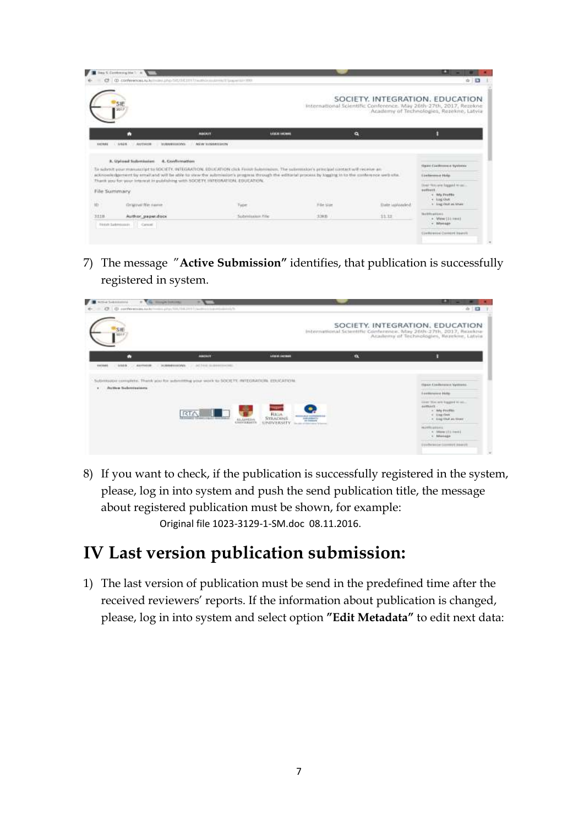|         | Blog C Contemption 1.14<br>C C Conferences As for mini-ship SAUS EXPLUSIVE contributions of the winds and |                                                                                                                                                                                                                                         |                                                                                                                                                                                                                               |                                                                                                      | œ<br>-<br>☆ 日                                                             |
|---------|-----------------------------------------------------------------------------------------------------------|-----------------------------------------------------------------------------------------------------------------------------------------------------------------------------------------------------------------------------------------|-------------------------------------------------------------------------------------------------------------------------------------------------------------------------------------------------------------------------------|------------------------------------------------------------------------------------------------------|---------------------------------------------------------------------------|
|         | SIE<br>2010                                                                                               |                                                                                                                                                                                                                                         |                                                                                                                                                                                                                               | SOCIETY. INTEGRATION. EDUCATION<br>International Scientific Conference. May 26th-27th, 2017, Rezekne | Academy of Technologies, Rezekne, Latvia                                  |
|         | с                                                                                                         | AMOUT                                                                                                                                                                                                                                   | <b>LESSE GASHIER</b>                                                                                                                                                                                                          | a                                                                                                    |                                                                           |
| 1022818 | Linkers.<br><b>AUTHOR</b><br><b>BURNAR SECONS</b><br>4. Cardirmation<br>3. Uploed Submission              | <b>INVAR BANKARD SHEIN</b>                                                                                                                                                                                                              |                                                                                                                                                                                                                               |                                                                                                      |                                                                           |
|         |                                                                                                           | To submit your manuscript to SOCKTY, INTEGRATION, EDUCATION click Finish Submission. The submission's proclass control will receive an                                                                                                  |                                                                                                                                                                                                                               |                                                                                                      | <b>Styred Cambrosom e Systemic</b>                                        |
|         | $\mathbf{u}$ $\mathbf{u}$ $\mathbf{u}$ $\mathbf{u}$                                                       | acknowledgement by email and will be able to view the automatize's progress through the editional process by togetra in to the contemporary web stal.<br>Thank you for your interest in publishing with SOCIETY INTERNATION, EDUCATION, | compared to the control of the control of the control of the control of the control of the control of the control of the control of the control of the control of the control of the control of the control of the control of |                                                                                                      | <b>Elektrown Hote</b><br><b>CONTRACTO</b><br>Down first and England most. |
|         | File Summary                                                                                              |                                                                                                                                                                                                                                         | ---                                                                                                                                                                                                                           |                                                                                                      | autourn.<br>4 Wy Profile<br>$+1$ dig that:                                |
|         | Original file name.                                                                                       | Type                                                                                                                                                                                                                                    | File star                                                                                                                                                                                                                     | Date upbushed.                                                                                       | . v Liet Och at their                                                     |
| 3338    | Author paper.docx<br><b>Ticket: Sademassier</b><br>Cartosi                                                | Submission File                                                                                                                                                                                                                         | $(100 - 1)$<br>3,3613                                                                                                                                                                                                         | 11.13                                                                                                | <b>Hollowing</b><br>- View (31 HW)<br>+ Manage                            |

7) The message "**Active Submission"** identifies, that publication is successfully registered in system.



8) If you want to check, if the publication is successfully registered in the system, please, log in into system and push the send publication title, the message about registered publication must be shown, for example: Original file 1023-3129-1-SM.doc 08.11.2016.

### **IV Last version publication submission:**

1) The last version of publication must be send in the predefined time after the received reviewers' reports. If the information about publication is changed, please, log in into system and select option **"Edit Metadata"** to edit next data: